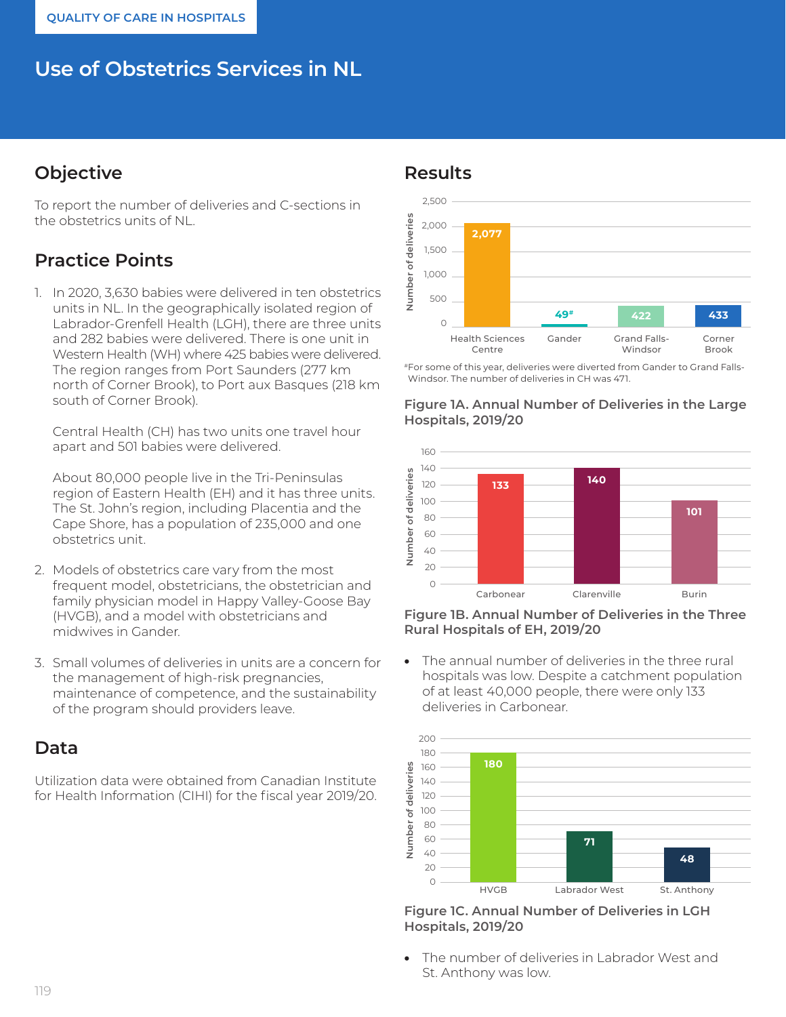# **Use of Obstetrics Services in NL**

## **Objective**

To report the number of deliveries and C-sections in the obstetrics units of NL.

## **Practice Points**

1. In 2020, 3,630 babies were delivered in ten obstetrics units in NL. In the geographically isolated region of Labrador-Grenfell Health (LGH), there are three units and 282 babies were delivered. There is one unit in Western Health (WH) where 425 babies were delivered. The region ranges from Port Saunders (277 km north of Corner Brook), to Port aux Basques (218 km south of Corner Brook).

Central Health (CH) has two units one travel hour apart and 501 babies were delivered.

About 80,000 people live in the Tri-Peninsulas region of Eastern Health (EH) and it has three units. The St. John's region, including Placentia and the Cape Shore, has a population of 235,000 and one obstetrics unit.

- 2. Models of obstetrics care vary from the most frequent model, obstetricians, the obstetrician and family physician model in Happy Valley-Goose Bay (HVGB), and a model with obstetricians and midwives in Gander.
- 3. Small volumes of deliveries in units are a concern for the management of high-risk pregnancies, maintenance of competence, and the sustainability of the program should providers leave.

## **Data**

Utilization data were obtained from Canadian Institute for Health Information (CIHI) for the fiscal year 2019/20.

### **Results**



#For some of this year, deliveries were diverted from Gander to Grand Falls-Windsor. The number of deliveries in CH was 471.





**Figure 1B. Annual Number of Deliveries in the Three Rural Hospitals of EH, 2019/20**

The annual number of deliveries in the three rural hospitals was low. Despite a catchment population of at least 40,000 people, there were only 133 deliveries in Carbonear.



**Figure 1C. Annual Number of Deliveries in LGH Hospitals, 2019/20**

• The number of deliveries in Labrador West and St. Anthony was low.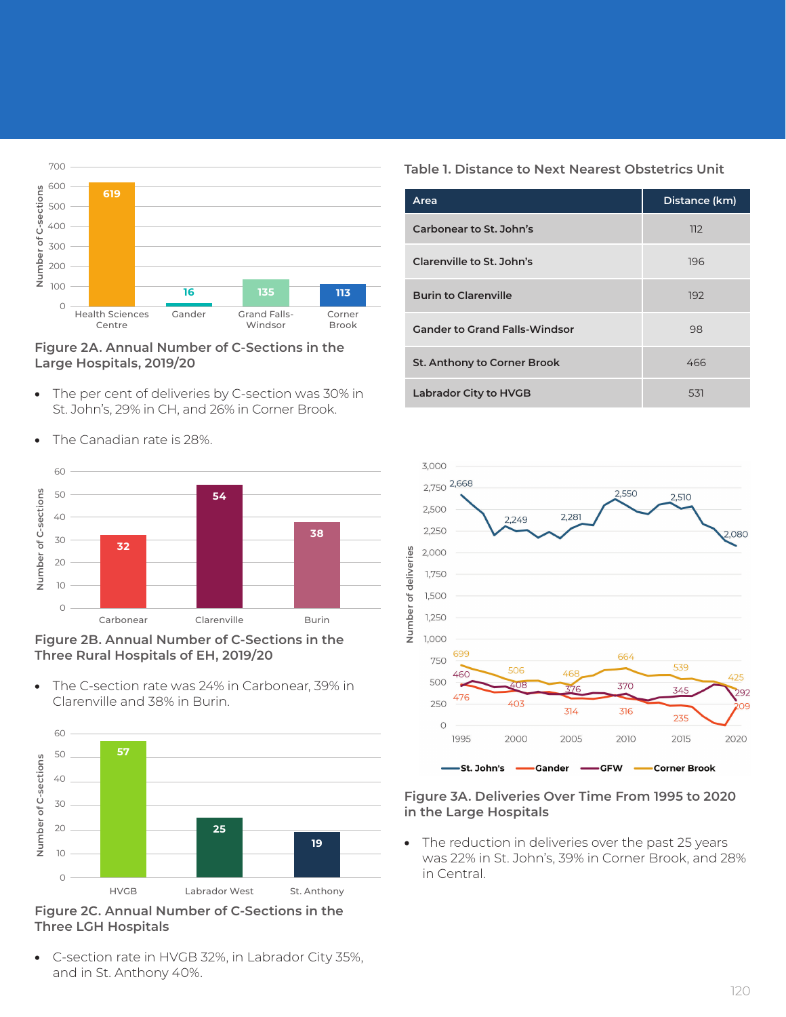

#### **Figure 2A. Annual Number of C-Sections in the Large Hospitals, 2019/20**

• The per cent of deliveries by C-section was 30% in St. John's, 29% in CH, and 26% in Corner Brook.



• The Canadian rate is 28%.



• The C-section rate was 24% in Carbonear, 39% in Clarenville and 38% in Burin.



**Figure 2C. Annual Number of C-Sections in the Three LGH Hospitals**

• C-section rate in HVGB 32%, in Labrador City 35%, and in St. Anthony 40%.

### **Table 1. Distance to Next Nearest Obstetrics Unit**

| Area                                 | Distance (km) |
|--------------------------------------|---------------|
| Carbonear to St. John's              | 112           |
| Clarenville to St. John's            | 196           |
| <b>Burin to Clarenville</b>          | 192           |
| <b>Gander to Grand Falls-Windsor</b> | 98            |
| St. Anthony to Corner Brook          | 466           |
| Labrador City to HVGB                | 531           |



#### **Figure 3A. Deliveries Over Time From 1995 to 2020 in the Large Hospitals**

• The reduction in deliveries over the past 25 years was 22% in St. John's, 39% in Corner Brook, and 28% in Central.